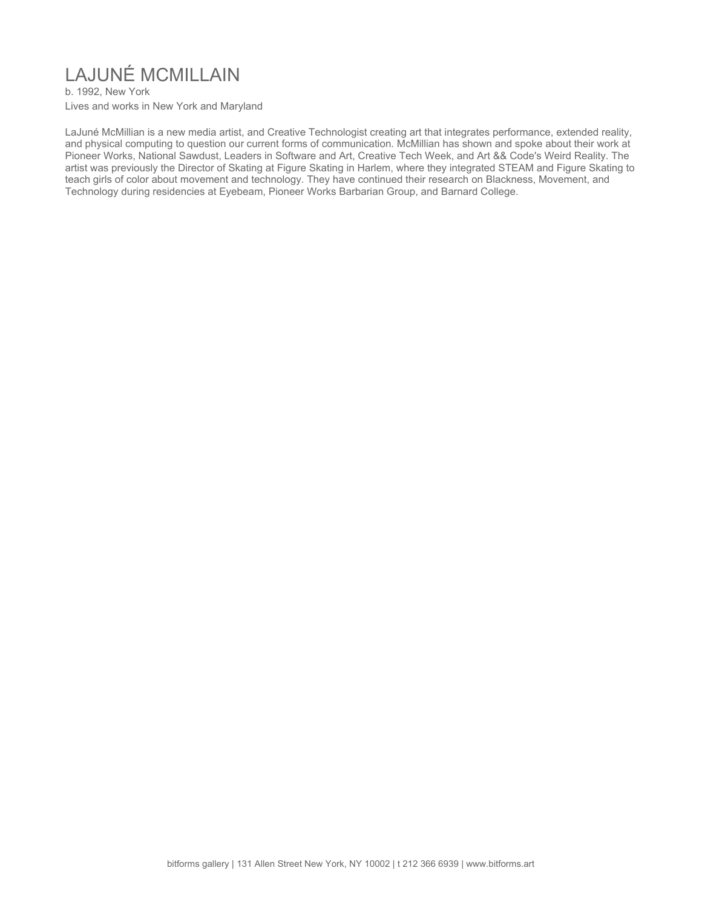# LAJUNÉ MCMILLAIN

b. 1992, New York Lives and works in New York and Maryland

LaJuné McMillian is a new media artist, and Creative Technologist creating art that integrates performance, extended reality, and physical computing to question our current forms of communication. McMillian has shown and spoke about their work at Pioneer Works, National Sawdust, Leaders in Software and Art, Creative Tech Week, and Art && Code's Weird Reality. The artist was previously the Director of Skating at Figure Skating in Harlem, where they integrated STEAM and Figure Skating to teach girls of color about movement and technology. They have continued their research on Blackness, Movement, and Technology during residencies at Eyebeam, Pioneer Works Barbarian Group, and Barnard College.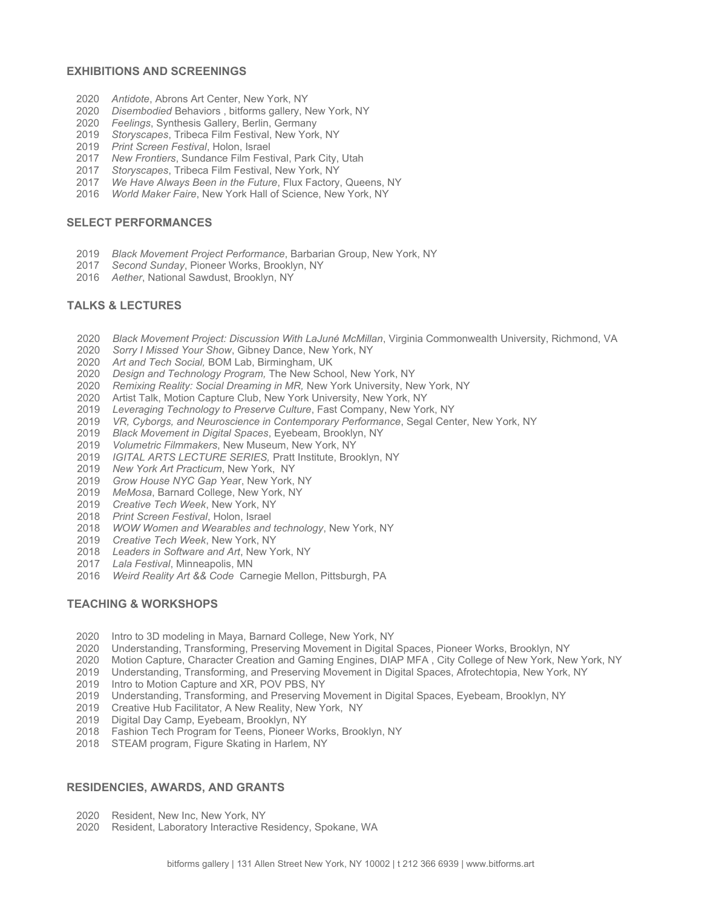#### **EXHIBITIONS AND SCREENINGS**

- *Antidote*, Abrons Art Center, New York, NY
- *Disembodied* Behaviors , bitforms gallery, New York, NY
- *Feelings*, Synthesis Gallery, Berlin, Germany
- *Storyscapes*, Tribeca Film Festival, New York, NY
- *Print Screen Festival*, Holon, Israel
- *New Frontiers*, Sundance Film Festival, Park City, Utah
- *Storyscapes*, Tribeca Film Festival, New York, NY
- *We Have Always Been in the Future*, Flux Factory, Queens, NY
- *World Maker Faire*, New York Hall of Science, New York, NY

#### **SELECT PERFORMANCES**

- *Black Movement Project Performance*, Barbarian Group, New York, NY
- *Second Sunday*, Pioneer Works, Brooklyn, NY
- *Aether*, National Sawdust, Brooklyn, NY

### **TALKS & LECTURES**

- *Black Movement Project: Discussion With LaJuné McMillan*, Virginia Commonwealth University, Richmond, VA
- *Sorry I Missed Your Show*, Gibney Dance, New York, NY
- *Art and Tech Social,* BOM Lab, Birmingham, UK
- *Design and Technology Program,* The New School, New York, NY
- *Remixing Reality: Social Dreaming in MR,* New York University, New York, NY
- Artist Talk, Motion Capture Club, New York University, New York, NY
- *Leveraging Technology to Preserve Culture*, Fast Company, New York, NY
- *VR, Cyborgs, and Neuroscience in Contemporary Performance*, Segal Center, New York, NY
- *Black Movement in Digital Spaces*, Eyebeam, Brooklyn, NY
- *Volumetric Filmmakers*, New Museum, New York, NY
- *IGITAL ARTS LECTURE SERIES,* Pratt Institute, Brooklyn, NY
- *New York Art Practicum*, New York, NY
- *Grow House NYC Gap Yea*r, New York, NY
- *MeMosa*, Barnard College, New York, NY
- *Creative Tech Week*, New York, NY
- *Print Screen Festival*, Holon, Israel
- *WOW Women and Wearables and technology*, New York, NY
- *Creative Tech Week*, New York, NY
- *Leaders in Software and Art*, New York, NY
- *Lala Festival*, Minneapolis, MN
- *Weird Reality Art && Code* Carnegie Mellon, Pittsburgh, PA

### **TEACHING & WORKSHOPS**

- Intro to 3D modeling in Maya, Barnard College, New York, NY
- Understanding, Transforming, Preserving Movement in Digital Spaces, Pioneer Works, Brooklyn, NY
- Motion Capture, Character Creation and Gaming Engines, DIAP MFA , City College of New York, New York, NY
- Understanding, Transforming, and Preserving Movement in Digital Spaces, Afrotechtopia, New York, NY
- Intro to Motion Capture and XR, POV PBS, NY
- Understanding, Transforming, and Preserving Movement in Digital Spaces, Eyebeam, Brooklyn, NY
- Creative Hub Facilitator, A New Reality, New York, NY
- Digital Day Camp, Eyebeam, Brooklyn, NY
- Fashion Tech Program for Teens, Pioneer Works, Brooklyn, NY
- STEAM program, Figure Skating in Harlem, NY

## **RESIDENCIES, AWARDS, AND GRANTS**

- Resident, New Inc, New York, NY
- Resident, Laboratory Interactive Residency, Spokane, WA